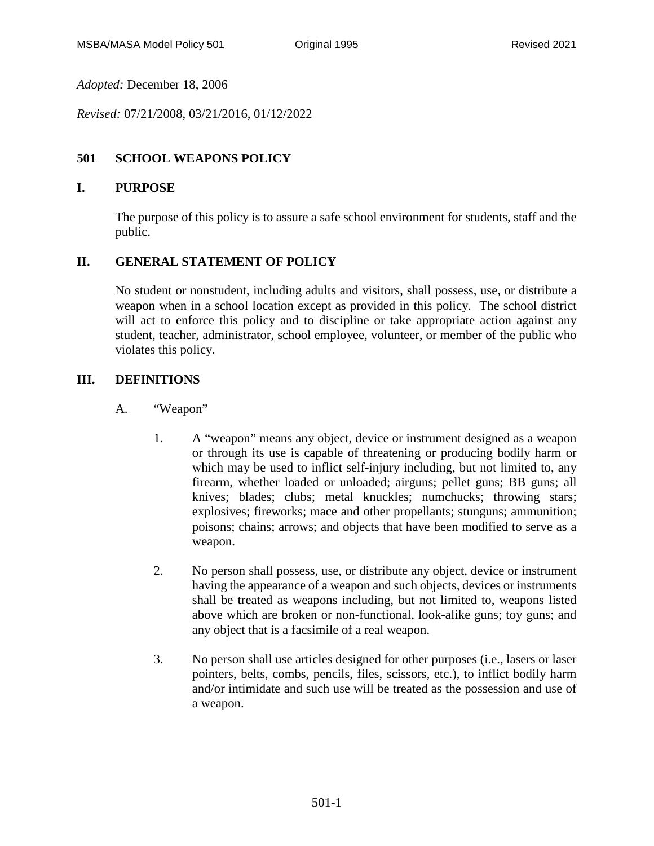*Adopted:* December 18, 2006

*Revised:* 07/21/2008, 03/21/2016, 01/12/2022

# **501 SCHOOL WEAPONS POLICY**

### **I. PURPOSE**

The purpose of this policy is to assure a safe school environment for students, staff and the public.

## **II. GENERAL STATEMENT OF POLICY**

No student or nonstudent, including adults and visitors, shall possess, use, or distribute a weapon when in a school location except as provided in this policy. The school district will act to enforce this policy and to discipline or take appropriate action against any student, teacher, administrator, school employee, volunteer, or member of the public who violates this policy.

## **III. DEFINITIONS**

- A. "Weapon"
	- 1. A "weapon" means any object, device or instrument designed as a weapon or through its use is capable of threatening or producing bodily harm or which may be used to inflict self-injury including, but not limited to, any firearm, whether loaded or unloaded; airguns; pellet guns; BB guns; all knives; blades; clubs; metal knuckles; numchucks; throwing stars; explosives; fireworks; mace and other propellants; stunguns; ammunition; poisons; chains; arrows; and objects that have been modified to serve as a weapon.
	- 2. No person shall possess, use, or distribute any object, device or instrument having the appearance of a weapon and such objects, devices or instruments shall be treated as weapons including, but not limited to, weapons listed above which are broken or non-functional, look-alike guns; toy guns; and any object that is a facsimile of a real weapon.
	- 3. No person shall use articles designed for other purposes (i.e., lasers or laser pointers, belts, combs, pencils, files, scissors, etc.), to inflict bodily harm and/or intimidate and such use will be treated as the possession and use of a weapon.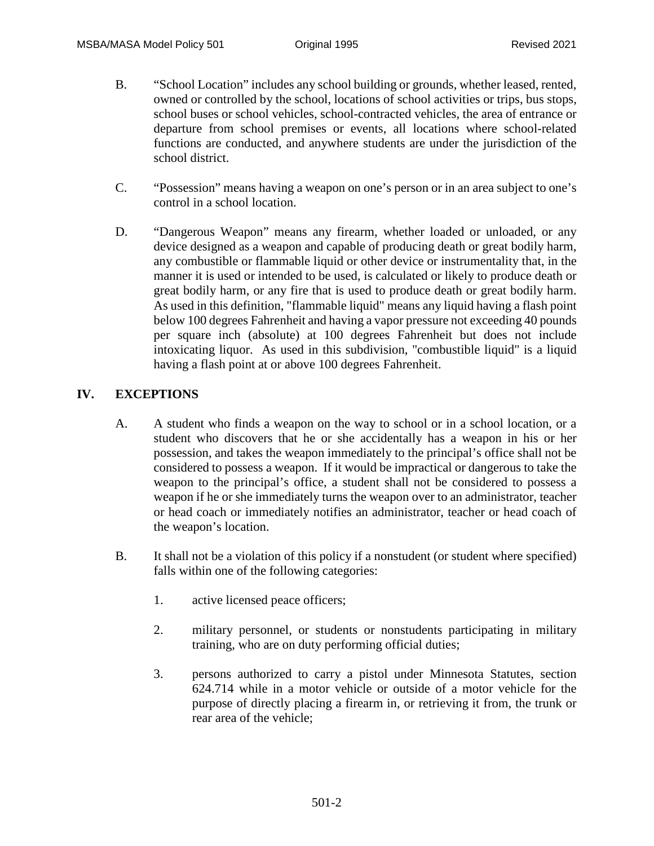- B. "School Location" includes any school building or grounds, whether leased, rented, owned or controlled by the school, locations of school activities or trips, bus stops, school buses or school vehicles, school-contracted vehicles, the area of entrance or departure from school premises or events, all locations where school-related functions are conducted, and anywhere students are under the jurisdiction of the school district.
- C. "Possession" means having a weapon on one's person or in an area subject to one's control in a school location.
- D. "Dangerous Weapon" means any firearm, whether loaded or unloaded, or any device designed as a weapon and capable of producing death or great bodily harm, any combustible or flammable liquid or other device or instrumentality that, in the manner it is used or intended to be used, is calculated or likely to produce death or great bodily harm, or any fire that is used to produce death or great bodily harm. As used in this definition, "flammable liquid" means any liquid having a flash point below 100 degrees Fahrenheit and having a vapor pressure not exceeding 40 pounds per square inch (absolute) at 100 degrees Fahrenheit but does not include intoxicating liquor. As used in this subdivision, "combustible liquid" is a liquid having a flash point at or above 100 degrees Fahrenheit.

## **IV. EXCEPTIONS**

- A. A student who finds a weapon on the way to school or in a school location, or a student who discovers that he or she accidentally has a weapon in his or her possession, and takes the weapon immediately to the principal's office shall not be considered to possess a weapon. If it would be impractical or dangerous to take the weapon to the principal's office, a student shall not be considered to possess a weapon if he or she immediately turns the weapon over to an administrator, teacher or head coach or immediately notifies an administrator, teacher or head coach of the weapon's location.
- B. It shall not be a violation of this policy if a nonstudent (or student where specified) falls within one of the following categories:
	- 1. active licensed peace officers;
	- 2. military personnel, or students or nonstudents participating in military training, who are on duty performing official duties;
	- 3. persons authorized to carry a pistol under Minnesota Statutes, section 624.714 while in a motor vehicle or outside of a motor vehicle for the purpose of directly placing a firearm in, or retrieving it from, the trunk or rear area of the vehicle;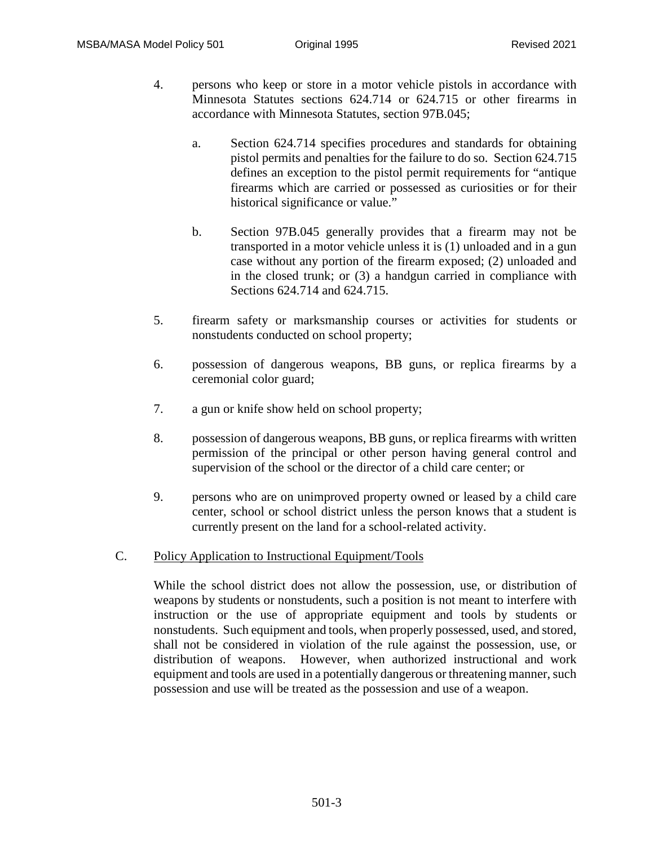- 4. persons who keep or store in a motor vehicle pistols in accordance with Minnesota Statutes sections 624.714 or 624.715 or other firearms in accordance with Minnesota Statutes, section 97B.045;
	- a. Section 624.714 specifies procedures and standards for obtaining pistol permits and penalties for the failure to do so. Section 624.715 defines an exception to the pistol permit requirements for "antique firearms which are carried or possessed as curiosities or for their historical significance or value."
	- b. Section 97B.045 generally provides that a firearm may not be transported in a motor vehicle unless it is (1) unloaded and in a gun case without any portion of the firearm exposed; (2) unloaded and in the closed trunk; or (3) a handgun carried in compliance with Sections 624.714 and 624.715.
- 5. firearm safety or marksmanship courses or activities for students or nonstudents conducted on school property;
- 6. possession of dangerous weapons, BB guns, or replica firearms by a ceremonial color guard;
- 7. a gun or knife show held on school property;
- 8. possession of dangerous weapons, BB guns, or replica firearms with written permission of the principal or other person having general control and supervision of the school or the director of a child care center; or
- 9. persons who are on unimproved property owned or leased by a child care center, school or school district unless the person knows that a student is currently present on the land for a school-related activity.
- C. Policy Application to Instructional Equipment/Tools

While the school district does not allow the possession, use, or distribution of weapons by students or nonstudents, such a position is not meant to interfere with instruction or the use of appropriate equipment and tools by students or nonstudents. Such equipment and tools, when properly possessed, used, and stored, shall not be considered in violation of the rule against the possession, use, or distribution of weapons. However, when authorized instructional and work equipment and tools are used in a potentially dangerous or threatening manner, such possession and use will be treated as the possession and use of a weapon.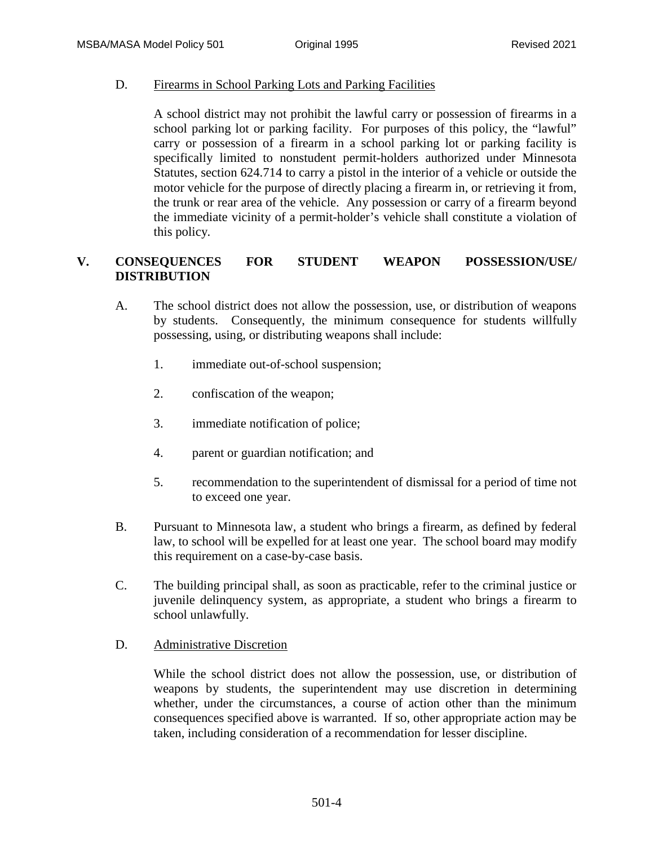D. Firearms in School Parking Lots and Parking Facilities

A school district may not prohibit the lawful carry or possession of firearms in a school parking lot or parking facility. For purposes of this policy, the "lawful" carry or possession of a firearm in a school parking lot or parking facility is specifically limited to nonstudent permit-holders authorized under Minnesota Statutes, section 624.714 to carry a pistol in the interior of a vehicle or outside the motor vehicle for the purpose of directly placing a firearm in, or retrieving it from, the trunk or rear area of the vehicle. Any possession or carry of a firearm beyond the immediate vicinity of a permit-holder's vehicle shall constitute a violation of this policy.

# **V. CONSEQUENCES FOR STUDENT WEAPON POSSESSION/USE/ DISTRIBUTION**

- A. The school district does not allow the possession, use, or distribution of weapons by students. Consequently, the minimum consequence for students willfully possessing, using, or distributing weapons shall include:
	- 1. immediate out-of-school suspension;
	- 2. confiscation of the weapon;
	- 3. immediate notification of police;
	- 4. parent or guardian notification; and
	- 5. recommendation to the superintendent of dismissal for a period of time not to exceed one year.
- B. Pursuant to Minnesota law, a student who brings a firearm, as defined by federal law, to school will be expelled for at least one year. The school board may modify this requirement on a case-by-case basis.
- C. The building principal shall, as soon as practicable, refer to the criminal justice or juvenile delinquency system, as appropriate, a student who brings a firearm to school unlawfully.

#### D. Administrative Discretion

While the school district does not allow the possession, use, or distribution of weapons by students, the superintendent may use discretion in determining whether, under the circumstances, a course of action other than the minimum consequences specified above is warranted. If so, other appropriate action may be taken, including consideration of a recommendation for lesser discipline.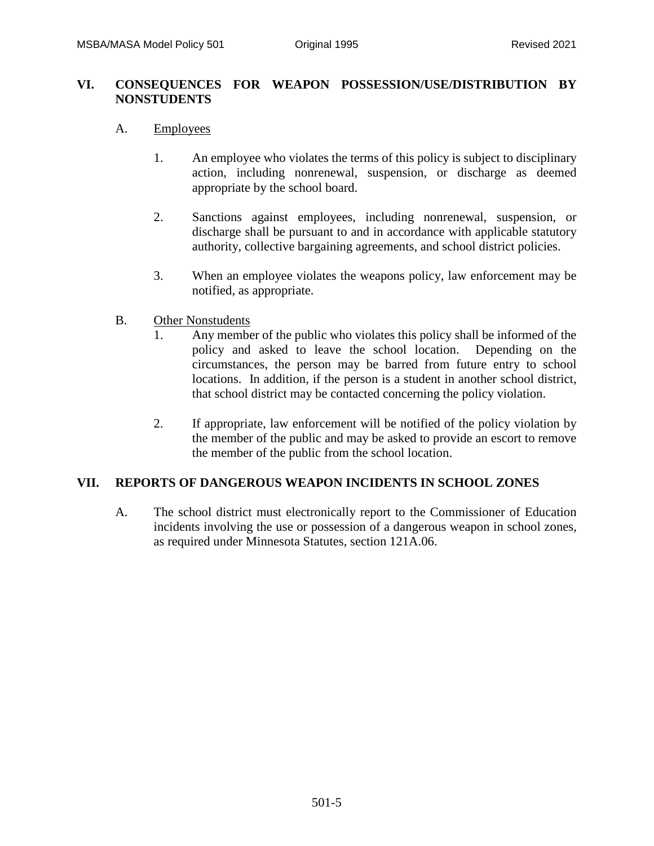### **VI. CONSEQUENCES FOR WEAPON POSSESSION/USE/DISTRIBUTION BY NONSTUDENTS**

#### A. Employees

- 1. An employee who violates the terms of this policy is subject to disciplinary action, including nonrenewal, suspension, or discharge as deemed appropriate by the school board.
- 2. Sanctions against employees, including nonrenewal, suspension, or discharge shall be pursuant to and in accordance with applicable statutory authority, collective bargaining agreements, and school district policies.
- 3. When an employee violates the weapons policy, law enforcement may be notified, as appropriate.

#### B. Other Nonstudents

- 1. Any member of the public who violates this policy shall be informed of the policy and asked to leave the school location. Depending on the circumstances, the person may be barred from future entry to school locations. In addition, if the person is a student in another school district, that school district may be contacted concerning the policy violation.
- 2. If appropriate, law enforcement will be notified of the policy violation by the member of the public and may be asked to provide an escort to remove the member of the public from the school location.

#### **VII. REPORTS OF DANGEROUS WEAPON INCIDENTS IN SCHOOL ZONES**

A. The school district must electronically report to the Commissioner of Education incidents involving the use or possession of a dangerous weapon in school zones, as required under Minnesota Statutes, section 121A.06.